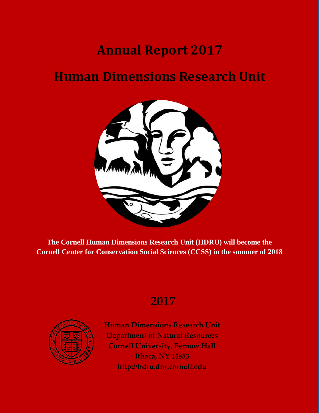# **Annual Report 2017**

# **Human Dimensions Research Unit**



**The Cornell Human Dimensions Research Unit (HDRU) will become the Cornell Center for Conservation Social Sciences (CCSS) in the summer of 2018**

# **2017**



**Human Dimensions Research Unit Department of Natural Resources Cornell University, Fernow Hall Ithaca, NY 14853 [http://hdru.dnr.cornell.edu](http://hdru.dnr.cornell.edu/)**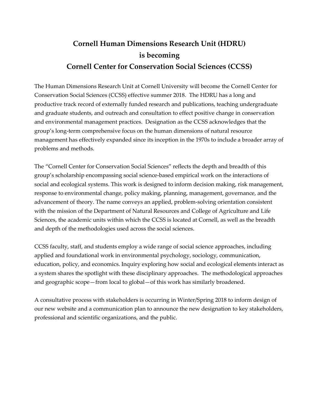# **Cornell Human Dimensions Research Unit (HDRU) is becoming Cornell Center for Conservation Social Sciences (CCSS)**

The Human Dimensions Research Unit at Cornell University will become the Cornell Center for Conservation Social Sciences (CCSS) effective summer 2018. The HDRU has a long and productive track record of externally funded research and publications, teaching undergraduate and graduate students, and outreach and consultation to effect positive change in conservation and environmental management practices. Designation as the CCSS acknowledges that the group's long-term comprehensive focus on the human dimensions of natural resource management has effectively expanded since its inception in the 1970s to include a broader array of problems and methods.

The "Cornell Center for Conservation Social Sciences" reflects the depth and breadth of this group's scholarship encompassing social science-based empirical work on the interactions of social and ecological systems. This work is designed to inform decision making, risk management, response to environmental change, policy making, planning, management, governance, and the advancement of theory. The name conveys an applied, problem-solving orientation consistent with the mission of the Department of Natural Resources and College of Agriculture and Life Sciences, the academic units within which the CCSS is located at Cornell, as well as the breadth and depth of the methodologies used across the social sciences.

CCSS faculty, staff, and students employ a wide range of social science approaches, including applied and foundational work in environmental psychology, sociology, communication, education, policy, and economics. Inquiry exploring how social and ecological elements interact as a system shares the spotlight with these disciplinary approaches. The methodological approaches and geographic scope—from local to global—of this work has similarly broadened.

A consultative process with stakeholders is occurring in Winter/Spring 2018 to inform design of our new website and a communication plan to announce the new designation to key stakeholders, professional and scientific organizations, and the public.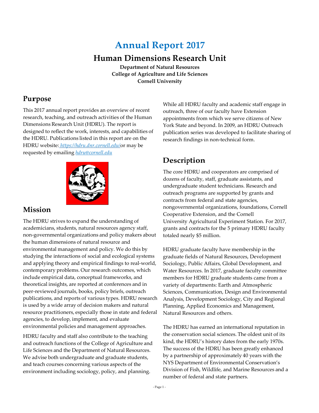# **Annual Repor**t **<sup>2017</sup>**

# **Human Dimensions Research Unit**

**Department of Natural Resources College of Agriculture and Life Sciences Cornell University**

# **Purpose**

This 2017 annual report provides an overview of recent research, teaching, and outreach activities of the Human Dimensions Research Unit (HDRU). The report is designed to reflect the work, interests, and capabilities of the HDRU. Publications listed in this report are on the HDRU website: *https://hdru.dnr.cornell.edu/*or may be requested by emailing *[hdru@cornell.edu](mailto:hdru@cornell.edu)*



# **Mission**

The HDRU strives to expand the understanding of academicians, students, natural resources agency staff, non-governmental organizations and policy makers about the human dimensions of natural resource and environmental management and policy. We do this by studying the interactions of social and ecological systems and applying theory and empirical findings to real-world, contemporary problems. Our research outcomes, which include empirical data, conceptual frameworks, and theoretical insights, are reported at conferences and in peer-reviewed journals, books, policy briefs, outreach publications, and reports of various types. HDRU research is used by a wide array of decision makers and natural resource practitioners, especially those in state and federal agencies, to develop, implement, and evaluate environmental policies and management approaches.

HDRU faculty and staff also contribute to the teaching and outreach functions of the College of Agriculture and Life Sciences and the Department of Natural Resources. We advise both undergraduate and graduate students, and teach courses concerning various aspects of the environment including sociology, policy, and planning.

While all HDRU faculty and academic staff engage in outreach, three of our faculty have Extension appointments from which we serve citizens of New York State and beyond. In 2009, an HDRU Outreach publication series was developed to facilitate sharing of research findings in non-technical form.

# **Description**

The core HDRU and cooperators are comprised of dozens of faculty, staff, graduate assistants, and undergraduate student technicians. Research and outreach programs are supported by grants and contracts from federal and state agencies, nongovernmental organizations, foundations, Cornell Cooperative Extension, and the Cornell University Agricultural Experiment Station. For 2017, grants and contracts for the 5 primary HDRU faculty totaled nearly \$5 million.

HDRU graduate faculty have membership in the graduate fields of Natural Resources, Development Sociology, Public Affairs, Global Development, and Water Resources. In 2017, graduate faculty committee members for HDRU graduate students came from a variety of departments: Earth and Atmospheric Sciences, Communication, Design and Environmental Analysis, Development Sociology, City and Regional Planning, Applied Economics and Management, Natural Resources and others.

The HDRU has earned an international reputation in the conservation social sciences. The oldest unit of its kind, the HDRU's history dates from the early 1970s. The success of the HDRU has been greatly enhanced by a partnership of approximately 40 years with the NYS Department of Environmental Conservation's Division of Fish, Wildlife, and Marine Resources and a number of federal and state partners.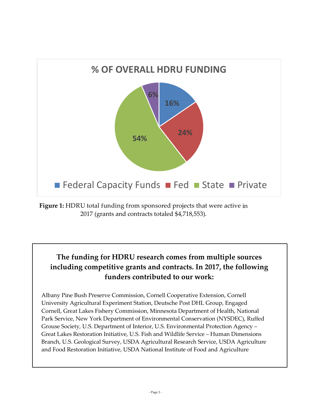

**Figure 1:** HDRU total funding from sponsored projects that were active in 2017 (grants and contracts totaled \$4,718,553).

# **The funding for HDRU research comes from multiple sources including competitive grants and contracts. In 2017, the following funders contributed to our work:**

Albany Pine Bush Preserve Commission, Cornell Cooperative Extension, Cornell University Agricultural Experiment Station, Deutsche Post DHL Group, Engaged Cornell, Great Lakes Fishery Commission, Minnesota Department of Health, National Park Service, New York Department of Environmental Conservation (NYSDEC), Ruffed Grouse Society, U.S. Department of Interior, U.S. Environmental Protection Agency – Great Lakes Restoration Initiative, U.S. Fish and Wildlife Service – Human Dimensions Branch, U.S. Geological Survey, USDA Agricultural Research Service, USDA Agriculture and Food Restoration Initiative, USDA National Institute of Food and Agriculture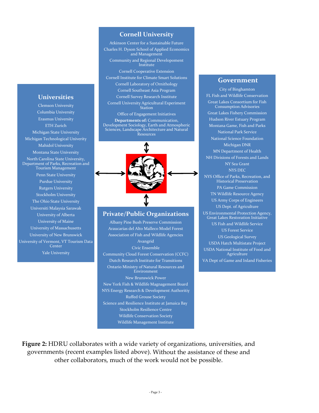### **Universities**

Clemson University Columbia University Erasmus University ETH Zurich Michigan State University Michigan Technological Univerity Mahidol University Montana State University North Carolina State University, Department of Parks, Recreation and Tourism Management Penn State University Purdue University Rutgers University Stockholm University The Ohio State University Universiti Malaysia Sarawak University of Alberta University of Maine University of Massachusetts University of New Brunswick University of Vermont, VT Tourism Data **Center** Yale University

### **Cornell University**

Atkinson Center for a Sustainable Future Charles H. Dyson School of Applied Economics and Management Community and Regional Developoment Institute Cornell Cooperative Extension Cornell Institute for Climate Smart Solutions Cornell Laboratory of Ornithology Cornell Southeast Asia Program Cornell Survey Research Institute Cornell University Agricultural Experiment **Station** Office of Engagement Initiatives **Departments of:** Communication, Development Sociology, Earth and Atmospheric Sciences, Landscape Architecture and Natural Resources



#### **Private/Public Organizations**

Albany Pine Bush Preserve Commission Araucarias del Alto Malleco Model Forest Association of Fish and Wildlife Agencies Avangrid Civic Ensemble Community Cloud Forest Conservation (CCFC) Dutch Research Institute for Transitions Ontario Ministry of Natural Resources and Environment New Brunswick Power New York Fish & Wildlife Magnagement Board NYS Energy Research & Development Authoritiy Ruffed Grouse Society Science and Resilience Institute at Jamaica Bay Stockholm Resilience Centre Wildlife Conservation Society Wildlife Management Institute

### **Government**

City of Binghamton FL Fish and Wildlife Conservation Great Lakes Consortium for Fish Consumption Advisories Great Lakes Fishery Commission Hudson River Estuary Program Montana Game, Fish and Parks National Park Service National Science Foundation Michigan DNR MN Department of Health NH Divisions of Forests and Lands NY Sea Grant NYS DEC NYS Office of Parks, Recreation, and Historical Preservation PA Game Commission TN Wildlife Resource Agency US Army Corps of Engineers US Dept. of Agriculture US Environmental Protection Agency, Great Lakes Restoration Initiative US Fish and Wildlife Service US Forest Service US Geological Survey USDA Hatch Multistate Project USDA National Institute of Food and Agriculture VA Dept of Game and Inland Fisheries

**Figure 2:** HDRU collaborates with a wide variety of organizations, universities, and governments (recent examples listed above). Without the assistance of these and other collaborators, much of the work would not be possible.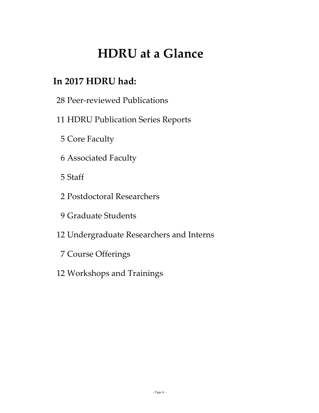# **HDRU at a Glance**

# **In 2017 HDRU had:**

Peer-reviewed Publications

# HDRU Publication Series Reports

- Core Faculty
- Associated Faculty
- Staff
- Postdoctoral Researchers
- Graduate Students
- Undergraduate Researchers and Interns
	- Course Offerings
- Workshops and Trainings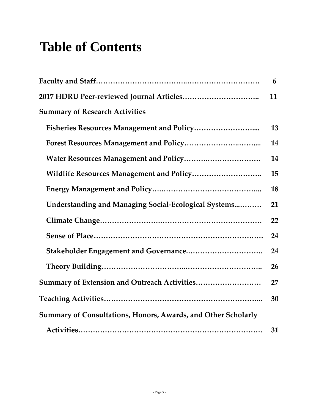# **Table of Contents**

|                                                                      | 6  |
|----------------------------------------------------------------------|----|
|                                                                      | 11 |
| <b>Summary of Research Activities</b>                                |    |
|                                                                      | 13 |
|                                                                      | 14 |
|                                                                      | 14 |
|                                                                      | 15 |
|                                                                      | 18 |
| Understanding and Managing Social-Ecological Systems                 | 21 |
|                                                                      | 22 |
|                                                                      | 24 |
|                                                                      | 24 |
|                                                                      | 26 |
| Summary of Extension and Outreach Activities                         | 27 |
|                                                                      | 30 |
| <b>Summary of Consultations, Honors, Awards, and Other Scholarly</b> |    |
|                                                                      | 31 |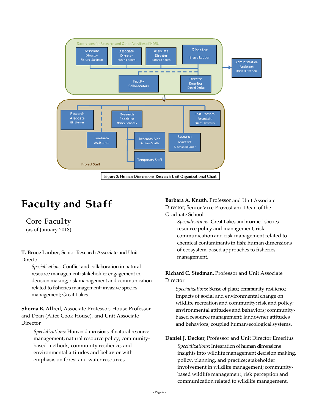

# **Faculty and Staff**

Core Faculty (as of January 2018)

**T. Bruce Lauber**, Senior Research Associate and Unit **Director** 

*Specializations*: Conflict and collaboration in natural resource management; stakeholder engagement in decision making; risk management and communication related to fisheries management; invasive species management; Great Lakes.

**Shorna B. Allred**, Associate Professor, House Professor and Dean (Alice Cook House), and Unit Associate Director

*Specializations*: Human dimensions of natural resource management; natural resource policy; communitybased methods, community resilience, and environmental attitudes and behavior with emphasis on forest and water resources.

**Barbara A. Knuth**, Professor and Unit Associate Director; Senior Vice Provost and Dean of the Graduate School

> *Specializations*: Great Lakes and marine fisheries resource policy and management; risk communication and risk management related to chemical contaminants in fish; human dimensions of ecosystem-based approaches to fisheries management.

### **Richard C. Stedman**, Professor and Unit Associate Director

*Specializations*: Sense of place; community resilience; impacts of social and environmental change on wildlife recreation and community; risk and policy; environmental attitudes and behaviors; communitybased resource management; landowner attitudes and behaviors; coupled human/ecological systems.

**Daniel J. Decker**, Professor and Unit Director Emeritus *Specializations*: Integration of human dimensions insights into wildlife management decision making, policy, planning, and practice; stakeholder involvement in wildlife management; communitybased wildlife management; risk perception and communication related to wildlife management.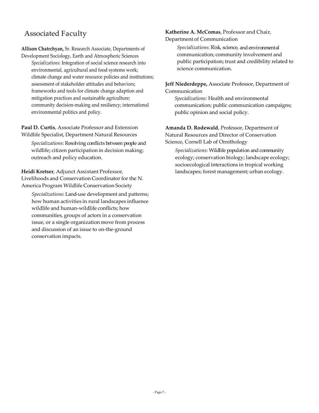# Associated Faculty

**Allison Chatrchyan,** Sr. Research Associate, Departments of Development Sociology, Earth and Atmospheric Sciences

*Specializations*: Integration of social science research into environmental, agricultural and food systems work; climate change and water resource policies and institutions; assessment of stakeholder attitudes and behaviors; frameworks and tools for climate change adaption and mitigation practices and sustainable agriculture; community decision-making and resiliency; international environmental politics and policy.

**Paul D. Curtis**, Associate Professor and Extension Wildlife Specialist, Department Natural Resources

*Specializations*: Resolving conflicts between people and wildlife; citizen participation in decision making; outreach and policy education.

**Heidi Kretser**, Adjunct Assistant Professor, Livelihoods and Conservation Coordinator for the N. America Program Wildlife Conservation Society

*Specializations*: Land-use development and patterns; how human activities in rural landscapes influence wildlife and human-wildlife conflicts; how communities, groups of actors in a conservation issue, or a single organization move from process and discussion of an issue to on-the-ground conservation impacts.

**Katherine A. McComas**, Professor and Chair, Department of Communication

> *Specializations*: Risk, science, andenvironmental communication; community involvement and public participation; trust and credibility related to science communication.

**Jeff Niederdeppe,** Associate Professor, Department of Communication

*Specializations:* Health and environmental communication; public communication campaigns; public opinion and social policy.

**Amanda D. Rodewald**, Professor, Department of Natural Resources and Director of Conservation Science, Cornell Lab of Ornithology

*Specializations*: Wildlife population and community ecology; conservation biology; landscape ecology; socioecological interactions in tropical working landscapes; forest management; urban ecology.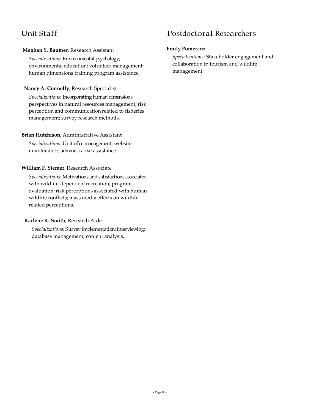# Unit Staff

# **Meghan S. Baumer**, Research Assistant

*Specializations*: Environmental psychology; environmental education; volunteer management; human dimensions training program assistance.

# **Nancy A. Connelly**, Research Specialist

*Specializations*: Incorporating human dimensions perspectives in natural resources management; risk perception and communication related to fisheries management; survey research methods.

## **Brian Hutchison**, Administrative Assistant

*Specializations*: Unit office management; website maintenance; administrative assistance.

## **William F. Siemer**, Research Associate

*Specializations*: Motivations andsatisfactions associated with wildlife-dependent recreation; program evaluation; risk perceptions associated with humanwildlife conflicts; mass media effects on wildliferelated perceptions.

## **Karlene K. Smith**, Research Aide

*Specializations*: Survey implementation; interviewing; database management; content analysis.

# Postdoctoral Researchers

### **Emily Pomeranz**

*Specializations:* Stakeholder engagement and collaboration in tourism and wildlife management.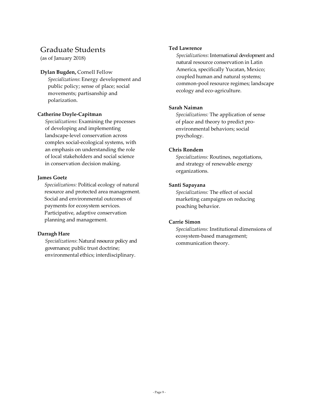# Graduate Students

(as of January 2018)

### **Dylan Bugden,** Cornell Fellow

*Specializations*: Energy development and public policy; sense of place; social movements; partisanship and polarization.

### **Catherine Doyle-Capitman**

*Specializations*: Examining the processes of developing and implementing landscape-level conservation across complex social-ecological systems, with an emphasis on understanding the role of local stakeholders and social science in conservation decision making.

## **James Goetz**

*Specializations:* Political ecology of natural resource and protected area management. Social and environmental outcomes of payments for ecosystem services. Participative, adaptive conservation planning and management.

## **Darragh Hare**

*Specializations*: Natural resource policy and governance; public trust doctrine; environmental ethics; interdisciplinary.

### **Ted Lawrence**

*Specializations*: International development and natural resource conservation in Latin America, specifically Yucatan, Mexico; coupled human and natural systems; common-pool resource regimes; landscape ecology and eco-agriculture.

### **Sarah Naiman**

*Specializations:* The application of sense of place and theory to predict proenvironmental behaviors; social psychology.

#### **Chris Rondem**

*Specializations:* Routines, negotiations, and strategy of renewable energy organizations.

### **Santi Sapayana**

*Specializations:* The effect of social marketing campaigns on reducing poaching behavior.

#### **Carrie Simon**

*Specializations:* Institutional dimensions of ecosystem-based management; communication theory.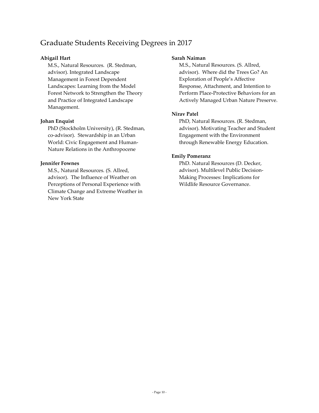# Graduate Students Receiving Degrees in 2017

### **Abigail Hart**

M.S., Natural Resources. (R. Stedman, advisor). Integrated Landscape Management in Forest Dependent Landscapes: Learning from the Model Forest Network to Strengthen the Theory and Practice of Integrated Landscape Management.

#### **Johan Enquist**

PhD (Stockholm University), (R. Stedman, co-advisor). Stewardship in an Urban World: Civic Engagement and Human-Nature Relations in the Anthropocene

### **Jennifer Fownes**

M.S., Natural Resources. (S. Allred, advisor). The Influence of Weather on Perceptions of Personal Experience with Climate Change and Extreme Weather in New York State

#### **Sarah Naiman**

M.S., Natural Resources. (S. Allred, advisor). Where did the Trees Go? An Exploration of People's Affective Response, Attachment, and Intention to Perform Place-Protective Behaviors for an Actively Managed Urban Nature Preserve.

### **Nirav Patel**

PhD, Natural Resources. (R. Stedman, advisor). Motivating Teacher and Student Engagement with the Environment through Renewable Energy Education.

### **Emily Pomeranz**

PhD. Natural Resources (D. Decker, advisor). Multilevel Public Decision-Making Processes: Implications for Wildlife Resource Governance.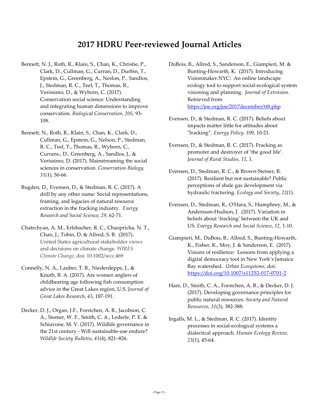# **2017 HDRU Peer-reviewed Journal Articles**

- Bennett, N. J., Roth, R., Klain, S., Chan, K., Christie, P., Clark, D., Cullman, G., Curran, D., Durbin, T., Epstein, G., Greenberg, A., Neslon, P., Sandlos, J., Stedman, R. C., Teel, T., Thomas, R., Verissimo, D., & Wyborn, C. (2017). Conservation social science: Understanding and integrating human dimensions to improve conservation. *Biological Conservation*, *205,* 93- 108.
- Bennett, N., Roth, R., Klain, S., Chan, K., Clark, D., Cullman, G., Epstein, G., Nelson, P., Stedman, R. C., Teel, T., Thomas, R., Wyborn, C., Currans., D., Greenberg, A., Sandlos, J., & Verissimo, D. (2017). Mainstreaming the social sciences in conservation. *Conservation Biology, 31*(1), 56-66.
- Bugden, D., Evensen, D., & Stedman, R. C. (2017). A drill by any other name: Social representations, framing, and legacies of natural resource extraction in the fracking industry. *Energy Research and Social Science*, *29*, 62-71.
- Chatrchyan, A. M., Erlebacher, R. C., Chaopricha, N. T., Chan, J., Tobin, D. & Allred, S. B. (2017). United States agricultural stakeholder views and decisions on climate change. *WIRES Climate Change*, doi: 10.1002/wcc.469
- Connelly, N. A., Lauber, T. B., Niederdeppe, J., & Knuth, B. A. (2017). Are women anglers of childbearing age following fish consumption advice in the Great Lakes region, U.S. *Journal of Great Lakes Research*, *43*, 187-191.
- Decker, D. J., Organ, J.F., Forstchen, A. B., Jacobson, C. A., Siemer, W. F., Smith, C. A., Lederle, P. E. & Schiavone, M. V. (2017). Wildlife governance in the 21st century - Will sustainable-use endure? *Wildlife Society Bulletin*, *41*(4), 821–826.
- DuBois, B., Allred, S., Sanderson, E., Giampieri, M. & Bunting-Howarth, K. (2017). Introducing Visionmaker.NYC: An online landscape ecology tool to support social-ecological system visioning and planning. *Journal of Extension.*  Retrieved from <https://joe.org/joe/2017december/tt8.php>
- Evensen, D., & Stedman, R. C. (2017). Beliefs about impacts matter little for attitudes about "fracking". *Energy Policy, 109*, 10-21.
- Evensen, D., & Stedman, R. C. (2017). Fracking as promoter and destroyer of 'the good life'. *Journal of Rural Studies*, *11*, 1.
- Evensen, D., Stedman, R. C., & Brown-Steiner, B. (2017). Resilient but not sustainable? Public perceptions of shale gas development via hydraulic fracturing. *Ecology and Society*, *22*(1).
- Evensen, D., Stedman, R., O'Hara, S., Humphrey, M., & Andersson-Hudson, J. (2017). Variation in beliefs about 'fracking' between the UK and US. *Energy Research and Social Science*, *12*, 1-10.
- Giampieri, M., DuBois, B., Allred, S., Bunting-Howarth, K., Fisher, K., Moy, J. & Sanderson, E. (2017). Visions of resilience: Lessons from applying a digital democracy tool in New York's Jamaica Bay watershed. *Urban Ecosystems,* doi: <https://doi.org/10.1007/s11252-017-0701-2>
- Hare, D., Smith, C. A., Forstchen, A. B., & Decker, D. J. (2017). Developing governance principles for public natural resources. *Society and Natural Resources, 31*(3), 382-388.
- Ingalls, M. L., & Stedman, R. C. (2017). Identity processes in social-ecological systems a dialectical approach. *Human Ecology Review, 23*(1), 45-64.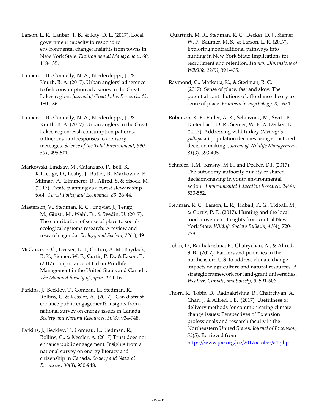Larson, L. R., Lauber, T. B., & Kay, D. L. (2017). Local government capacity to respond to environmental change: Insights from towns in New York State. *Environmental Management*, *60,* 118-135.

- Lauber, T. B., Connelly, N. A., Niederdeppe, J., & Knuth, B. A. (2017). Urban anglers' adherence to fish consumption advisories in the Great Lakes region. *Journal of Great Lakes Research, 43,* 180-186.
- Lauber, T. B., Connelly, N. A., Niederdeppe, J., & Knuth, B. A. (2017). Urban anglers in the Great Lakes region: Fish consumption patterns, influences, and responses to advisory messages. *Science of the Total Environment, 590- 591*, 495-501.
- Markowski-Lindsay, M., Catanzaro, P., Bell, K., Kittredge, D., Leahy, J., Butler, B., Markowitz, E., Milman, A., Zimmerer, R., Allred, S. & Sisock, M. (2017). Estate planning as a forest stewardship tool. *Forest Policy and Economics, 83*, 36-44.
- Masterson, V., Stedman, R. C., Enqvist, J., Tengo, M., Giusti, M., Wahl, D., & Svedin, U. (2017). The contribution of sense of place to socialecological systems research: A review and research agenda. *Ecology and Society, 22*(1), 49.
- McCance, E. C., Decker, D. J., Colturi, A. M., Baydack, R. K., Siemer, W. F., Curtis, P. D., & Eason, T. (2017). Importance of Urban Wildlife Management in the United States and Canada. *The Mammal Society of Japan, 42,*1-16.
- Parkins, J., Beckley, T., Comeau, L., Stedman, R., Rollins, C. & Kessler, A. (2017). Can distrust enhance public engagement? Insights from a national survey on energy issues in Canada. *Society and Natural Resources*, *30(8)*, 934-948.
- Parkins, J., Beckley, T., Comeau, L., Stedman, R., Rollins, C., & Kessler, A. (2017) Trust does not enhance public engagement: Insights from a national survey on energy literacy and citizenship in Canada. *Society and Natural Resources, 30*(8), 930-948.
- Quartuch, M. R., Stedman, R. C., Decker, D. J., Siemer, W. F., Baumer, M. S., & Larson, L. R. (2017). Exploring nontraditional pathways into hunting in New York State: Implications for recruitment and retention. *Human Dimensions of Wildlife, 22(5)*, 391-405.
- Raymond, C., Marketta, K., & Stedman, R. C. (2017). Sense of place, fast and slow: The potential contributions of affordance theory to sense of place. *Frontiers in Psychology, 8*, 1674.
- Robinson, K. F., Fuller, A. K., Schiavone, M., Swift, B., Diefenbach, D. R., Siemer, W. F., & Decker, D. J. (2017). Addressing wild turkey (*Meleagris gallapavo*) population declines using structured decision making. *Journal of Wildlife Management*. *81*(3), 393-405.
- Schusler, T.M., Krasny, M.E., and Decker, D.J. (2017). The autonomy-authority duality of shared decision-making in youth environmental action. *Environmental Education Research. 24(4)*, 533-552.
- Stedman, R. C., Larson, L. R., Tidball, K. G., Tidball, M., & Curtis, P. D. (2017). Hunting and the local food movement: Insights from central New York State. *Wildlife Society Bulletin, 41*(4), 720- 728
- Tobin, D., Radhakrishna, R., Chatrychan, A., & Allred, S. B. (2017). Barriers and priorities in the northeastern U.S. to address climate change impacts on agriculture and natural resources: A strategic framework for land-grant universities. *Weather, Climate, and Society, 9*, 591-606.
- Thorn, K., Tobin, D., Radhakrishna, R., Chatrchyan, A., Chan, J. & Allred, S.B. (2017). Usefulness of delivery methods for communicating climate change issues: Perspectives of Extension professionals and research faculty in the Northeastern United States. *Journal of Extension, 55*(5). Retrieved from <https://www.joe.org/joe/2017october/a4.php>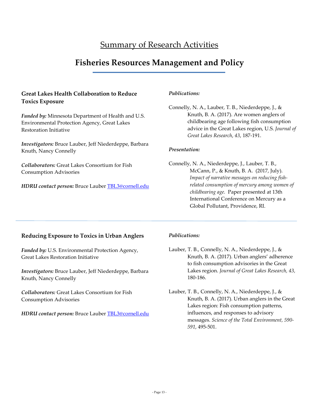# Summary of Research Activities

# **Fisheries Resources Management and Policy**

## **Great Lakes Health Collaboration to Reduce Toxics Exposure**

*Funded by:* Minnesota Department of Health and U.S. Environmental Protection Agency, Great Lakes Restoration Initiative

*Investigators:* Bruce Lauber, Jeff Niederdeppe, Barbara Knuth, Nancy Connelly

*Collaborators:* Great Lakes Consortium for Fish Consumption Advisories

*HDRU contact person:* Bruce Lauber [TBL3@cornell.edu](mailto:TBL3@cornell.edu)

#### *Publications:*

Connelly, N. A., Lauber, T. B., Niederdeppe, J., & Knuth, B. A. (2017). Are women anglers of childbearing age following fish consumption advice in the Great Lakes region, U.S. *Journal of Great Lakes Research*, *43*, 187-191.

#### *Presentation:*

Connelly, N. A., Niederdeppe, J., Lauber, T. B., McCann, P., & Knuth, B. A. (2017, July). *Impact of narrative messages on reducing fishrelated consumption of mercury among women of childbearing age.* Paper presented at 13th International Conference on Mercury as a Global Pollutant, Providence, RI.

#### **Reducing Exposure to Toxics in Urban Anglers**

*Funded by:* U.S. Environmental Protection Agency, Great Lakes Restoration Initiative

*Investigators:* Bruce Lauber, Jeff Niederdeppe, Barbara Knuth, Nancy Connelly

*Collaborators:* Great Lakes Consortium for Fish Consumption Advisories

*HDRU contact person:* Bruce Lauber [TBL3@cornell.edu](mailto:TBL3@cornell.edu)

#### *Publications:*

- Lauber, T. B., Connelly, N. A., Niederdeppe, J., & Knuth, B. A. (2017). Urban anglers' adherence to fish consumption advisories in the Great Lakes region. *Journal of Great Lakes Research, 43,* 180-186.
- Lauber, T. B., Connelly, N. A., Niederdeppe, J., & Knuth, B. A. (2017). Urban anglers in the Great Lakes region: Fish consumption patterns, influences, and responses to advisory messages. *Science of the Total Environment, 590- 591*, 495-501.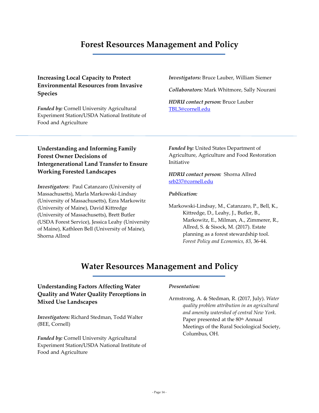# **Forest Resources Management and Policy**

# **Increasing Local Capacity to Protect Environmental Resources from Invasive Species**

*Funded by:* Cornell University Agricultural Experiment Station/USDA National Institute of Food and Agriculture

*Investigators:* Bruce Lauber, William Siemer

*Collaborators:* Mark Whitmore, Sally Nourani

*HDRU contact person:* Bruce Lauber [TBL3@cornell.edu](mailto:TBL3@cornell.edu)

# **Understanding and Informing Family Forest Owner Decisions of Intergenerational Land Transfer to Ensure Working Forested Landscapes**

*Investigators*: Paul Catanzaro (University of Massachusetts), Marla Markowski-Lindsay (University of Massachusetts), Ezra Markowitz (University of Maine), David Kittredge (University of Massachusetts), Brett Butler (USDA Forest Service), Jessica Leahy (University of Maine), Kathleen Bell (University of Maine), Shorna Allred

*Funded by:* United States Department of Agriculture, Agriculture and Food Restoration Initiative

#### *HDRU contact person:* Shorna Allred srb237@cornell.edu

#### *Publication:*

Markowski-Lindsay, M., Catanzaro, P., Bell, K., Kittredge, D., Leahy, J., Butler, B., Markowitz, E., Milman, A., Zimmerer, R., Allred, S. & Sisock, M. (2017). Estate planning as a forest stewardship tool. *Forest Policy and Economics, 83*, 36-44.

# **Water Resources Management and Policy**

# **Understanding Factors Affecting Water Quality and Water Quality Perceptions in Mixed Use Landscapes**

*Investigators:* Richard Stedman, Todd Walter (BEE, Cornell)

*Funded by:* Cornell University Agricultural Experiment Station/USDA National Institute of Food and Agriculture

#### *Presentation:*

Armstrong, A. & Stedman, R. (2017, July). *Water quality problem attribution in an agricultural and amenity watershed of central New York*. Paper presented at the 80<sup>th</sup> Annual Meetings of the Rural Sociological Society, Columbus, OH.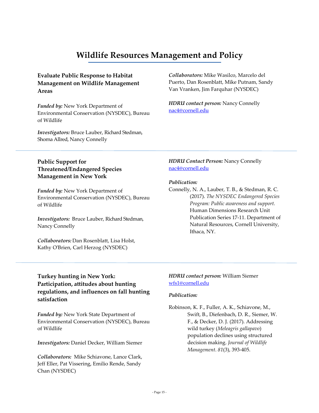# **Wildlife Resources Management and Policy**

# **Evaluate Public Response to Habitat Management on Wildlife Management Areas**

*Funded by:* New York Department of Environmental Conservation (NYSDEC), Bureau of Wildlife

*Investigators:* Bruce Lauber, Richard Stedman, Shorna Allred, Nancy Connelly

*Collaborators:* Mike Wasilco, Marcelo del Puerto, Dan Rosenblatt, Mike Putnam, Sandy Van Vranken, Jim Farquhar (NYSDEC)

*HDRU contact person:* Nancy Connelly nac4@cornell.edu

## **Public Support for Threatened/Endangered Species Management in New York**

*Funded by:* New York Department of Environmental Conservation (NYSDEC), Bureau of Wildlife

*Investigators:* Bruce Lauber, Richard Stedman, Nancy Connelly

*Collaborators:* Dan Rosenblatt, Lisa Holst, Kathy O'Brien, Carl Herzog (NYSDEC)

### *HDRU Contact Person:* Nancy Connelly nac4@cornell.edu

#### *Publication:*

Connelly, N. A., Lauber, T. B., & Stedman, R. C. (2017). *The NYSDEC Endangered Species Program: Public awareness and support.* Human Dimensions Research Unit Publication Series 17-11. Department of Natural Resources, Cornell University, Ithaca, NY.

# **Turkey hunting in New York: Participation, attitudes about hunting regulations, and influences on fall hunting satisfaction**

*Funded by:* New York State Department of Environmental Conservation (NYSDEC), Bureau of Wildlife

*Investigators:* Daniel Decker, William Siemer

*Collaborators:* Mike Schiavone, Lance Clark, Jeff Eller, Pat Vissering, Emilio Rende, Sandy Chan (NYSDEC)

#### *HDRU contact person:* William Siemer wfs1@cornell.edu

#### *Publication:*

Robinson, K. F., Fuller, A. K., Schiavone, M., Swift, B., Diefenbach, D. R., Siemer, W. F., & Decker, D. J. (2017). Addressing wild turkey (*Meleagris gallapavo*) population declines using structured decision making. *Journal of Wildlife Management*. *81*(3), 393-405.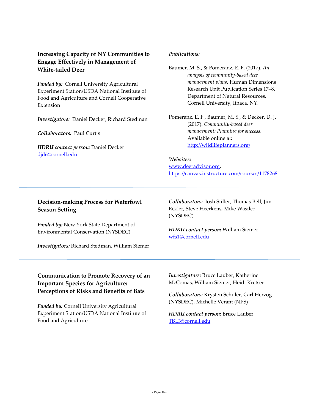# **Increasing Capacity of NY Communities to Engage Effectively in Management of White-tailed Deer**

*Funded by:* Cornell University Agricultural Experiment Station/USDA National Institute of Food and Agriculture and Cornell Cooperative Extension

*Investigators:* Daniel Decker, Richard Stedman

*Collaborators:* Paul Curtis

*HDRU contact person:* Daniel Decker [djd6@cornell.edu](mailto:djd6@cornell.edu)

#### *Publications:*

- Baumer, M. S., & Pomeranz, E. F. (2017). *An analysis of community-based deer management plans*. Human Dimensions Research Unit Publication Series 17–8. Department of Natural Resources, Cornell University, Ithaca, NY.
- Pomeranz, E. F., Baumer, M. S., & Decker, D. J. (2017). *Community-based deer management: Planning for success*. Available online at: <http://wildlifeplanners.org/>

*Websites:*  [www.deeradvisor.org,](http://www.deeradvisor.org/) <https://canvas.instructure.com/courses/1178268>

# **Decision-making Process for Waterfowl Season Setting**

*Funded by:* New York State Department of Environmental Conservation (NYSDEC)

*Investigators:* Richard Stedman, William Siemer

*Collaborators:* Josh Stiller, Thomas Bell, Jim Eckler, Steve Heerkens, Mike Wasilco (NYSDEC)

*HDRU contact person:* William Siemer wfs1@cornell.edu

# **Communication to Promote Recovery of an Important Species for Agriculture: Perceptions of Risks and Benefits of Bats**

*Funded by:* Cornell University Agricultural Experiment Station/USDA National Institute of Food and Agriculture

*Investigators:* Bruce Lauber, Katherine McComas, William Siemer, Heidi Kretser

*Collaborators:* Krysten Schuler, Carl Herzog (NYSDEC), Michelle Verant (NPS)

#### *HDRU contact person:* Bruce Lauber [TBL3@cornell.edu](mailto:TBL3@cornell.edu)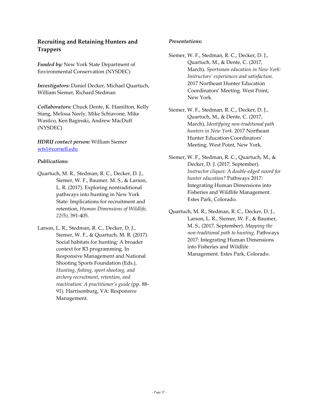# **Recruiting and Retaining Hunters and Trappers**

*Funded by:* New York State Department of Environmental Conservation (NYSDEC)

*Investigators:* Daniel Decker, Michael Quartuch, William Siemer, Richard Stedman

*Collaborators:* Chuck Dente, K. Hamilton, Kelly Stang, Melissa Neely, Mike Schiavone, Mike Wasilco, Ken Baginski, Andrew MacDuff (NYSDEC)

#### *HDRU contact person:* William Siemer wfs1@cornell.edu

#### *Publications:*

- Quartuch, M. R., Stedman, R. C., Decker, D. J., Siemer, W. F., Baumer, M. S., & Larson, L. R. (2017). Exploring nontraditional pathways into hunting in New York State: Implications for recruitment and retention, *Human Dimensions of Wildlife, 22(*5*)*, 391-405.
- Larson, L. R., Stedman, R. C., Decker, D. J., Siemer, W. F., & Quartuch, M. R. (2017). Social habitats for hunting: A broader context for R3 programming. In Responsive Management and National Shooting Sports Foundation (Eds.), *Hunting, fishing, sport shooting, and archery recruitment, retention, and reactivation: A practitioner's guide* (pp. 88- 91). Harrisonburg, VA: Responsive Management.

#### *Presentations:*

- Siemer, W. F., Stedman, R. C., Decker, D. J., Quartuch, M., & Dente, C. (2017, March). *Sportsman education in New York: Instructors' experiences and satisfaction.*  2017 Northeast Hunter Education Coordinators' Meeting. West Point, New York.
- Siemer, W. F., Stedman, R. C., Decker, D. J., Quartuch, M., & Dente, C. (2017, March). *Identifying non-traditional path hunters in New York.* 2017 Northeast Hunter Education Coordinators' Meeting. West Point, New York.
- Siemer, W. F., Stedman, R. C., Quartuch, M., & Decker, D. J. (2017, September). *Instructor cliques: A double-edged sword for hunter education?* Pathways 2017: Integrating Human Dimensions into Fisheries and Wildlife Management. Estes Park, Colorado.
- Quartuch, M. R., Stedman, R. C., Decker, D. J., Larson, L. R., Siemer, W. F., & Baumer, M. S., (2017, September). *Mapping the non-traditional path to hunting.* Pathways 2017: Integrating Human Dimensions into Fisheries and Wildlife Management. Estes Park, Colorado.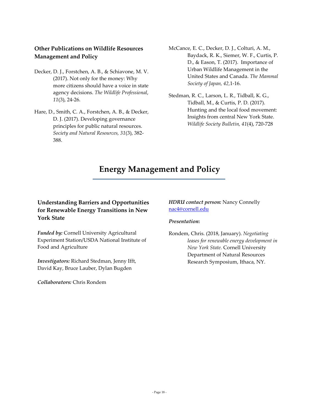# **Other Publications on Wildlife Resources Management and Policy**

- Decker, D. J., Forstchen, A. B., & Schiavone, M. V. (2017). Not only for the money: Why more citizens should have a voice in state agency decisions. *The Wildlife Professional*, *11*(3), 24-26.
- Hare, D., Smith, C. A., Forstchen, A. B., & Decker, D. J. (2017). Developing governance principles for public natural resources. *Society and Natural Resources, 31*(3), 382- 388.
- McCance, E. C., Decker, D. J., Colturi, A. M., Baydack, R. K., Siemer, W. F., Curtis, P. D., & Eason, T. (2017). Importance of Urban Wildlife Management in the United States and Canada. *The Mammal Society of Japan, 42,*1-16.
- Stedman, R. C., Larson, L. R., Tidball, K. G., Tidball, M., & Curtis, P. D. (2017). Hunting and the local food movement: Insights from central New York State. *Wildlife Society Bulletin, 41*(4), 720-728

# **Energy Management and Policy**

# **Understanding Barriers and Opportunities for Renewable Energy Transitions in New York State**

*Funded by:* Cornell University Agricultural Experiment Station/USDA National Institute of Food and Agriculture

*Investigators:* Richard Stedman, Jenny Ifft, David Kay, Bruce Lauber, Dylan Bugden

*Collaborators:* Chris Rondem

### *HDRU contact person:* Nancy Connelly nac4@cornell.edu

#### *Presentation***:**

Rondem, Chris. (2018, January). *Negotiating leases for renewable energy development in New York State.* Cornell University Department of Natural Resources Research Symposium, Ithaca, NY.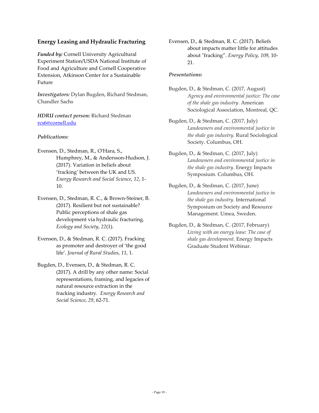## **Energy Leasing and Hydraulic Fracturing**

*Funded by:* Cornell University Agricultural Experiment Station/USDA National Institute of Food and Agriculture and Cornell Cooperative Extension, Atkinson Center for a Sustainable Future

*Investigators:* Dylan Bugden, Richard Stedman, Chandler Sachs

#### *HDRU contact person:* Richard Stedman [rcs6@cornell.edu](mailto:rcs6@cornell.edu)

#### *Publications:*

- Evensen, D., Stedman, R., O'Hara, S., Humphrey, M., & Andersson-Hudson, J. (2017). Variation in beliefs about 'fracking' between the UK and US. *Energy Research and Social Science*, *12*, 1- 10.
- Evensen, D., Stedman, R. C., & Brown-Steiner, B. (2017). Resilient but not sustainable? Public perceptions of shale gas development via hydraulic fracturing. *Ecology and Society*, *22*(1).
- Evensen, D., & Stedman, R. C. (2017). Fracking as promoter and destroyer of 'the good life'. *Journal of Rural Studies*, *11*, 1.
- Bugden, D., Evensen, D., & Stedman, R. C. (2017). A drill by any other name: Social representations, framing, and legacies of natural resource extraction in the fracking industry. *Energy Research and Social Science*, *29*, 62-71.

Evensen, D., & Stedman, R. C. (2017). Beliefs about impacts matter little for attitudes about "fracking". *Energy Policy, 109*, 10- 21.

#### *Presentations***:**

- Bugden, D., & Stedman, C. (2017, August) *Agency and environmental justice: The case of the shale gas industry.* American Sociological Association, Montreal, QC.
- Bugden, D., & Stedman, C. (2017, July) *Landowners and environmental justice in the shale gas industry.* Rural Sociological Society. Columbus, OH.
- Bugden, D., & Stedman, C. (2017, July) *Landowners and environmental justice in the shale gas industry.* Energy Impacts Symposium. Columbus, OH.
- Bugden, D., & Stedman, C. (2017, June) *Landowners and environmental justice in the shale gas industry.* International Symposium on Society and Resource Management. Umea, Sweden.
- Bugden, D., & Stedman, C. (2017, February) *Living with an energy lease: The case of shale gas development.* Energy Impacts Graduate Student Webinar.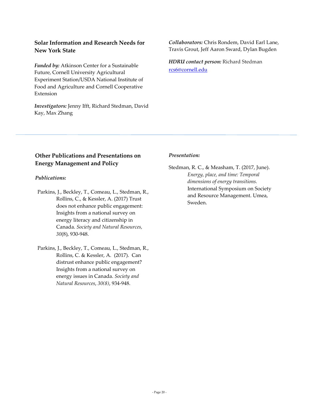# **Solar Information and Research Needs for New York State**

*Funded by:* Atkinson Center for a Sustainable Future, Cornell University Agricultural Experiment Station/USDA National Institute of Food and Agriculture and Cornell Cooperative Extension

*Investigators:* Jenny Ifft, Richard Stedman, David Kay, Max Zhang

#### *Collaborators:* Chris Rondem, David Earl Lane, Travis Grout, Jeff Aaron Sward, Dylan Bugden

*HDRU contact person:* Richard Stedman [rcs6@cornell.edu](mailto:rcs6@cornell.edu)

## **Other Publications and Presentations on Energy Management and Policy**

#### *Publications:*

- Parkins, J., Beckley, T., Comeau, L., Stedman, R., Rollins, C., & Kessler, A. (2017) Trust does not enhance public engagement: Insights from a national survey on energy literacy and citizenship in Canada. *Society and Natural Resources, 30*(8), 930-948.
- Parkins, J., Beckley, T., Comeau, L., Stedman, R., Rollins, C. & Kessler, A. (2017). Can distrust enhance public engagement? Insights from a national survey on energy issues in Canada. *Society and Natural Resources*, *30(8)*, 934-948.

#### *Presentation:*

Stedman, R. C., & Measham, T. (2017, June). *Energy, place, and time: Temporal dimensions of energy transitions.* International Symposium on Society and Resource Management. Umea, Sweden.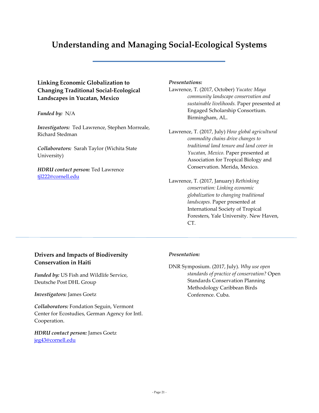# **Understanding and Managing Social-Ecological Systems**

**Linking Economic Globalization to Changing Traditional Social-Ecological Landscapes in Yucatan, Mexico**

*Funded by:* N/A

*Investigators:* Ted Lawrence, Stephen Morreale, Richard Stedman

*Collaborators:* Sarah Taylor (Wichita State University)

*HDRU contact person:* Ted Lawrence [tjl222@cornell.edu](mailto:tjl222@cornell.edu)

#### *Presentations:*

Lawrence, T. (2017, October) *Yucatec Maya community landscape conservation and sustainable livelihoods.* Paper presented at Engaged Scholarship Consortium. Birmingham, AL.

Lawrence, T. (2017, July) *How global agricultural commodity chains drive changes to traditional land tenure and land cover in Yucatan, Mexico.* Paper presented at Association for Tropical Biology and Conservation. Merida, Mexico.

Lawrence, T. (2017, January) *Rethinking conservation: Linking economic globalization to changing traditional landscapes.* Paper presented at International Society of Tropical Foresters, Yale University. New Haven, CT.

# **Drivers and Impacts of Biodiversity Conservation in Haiti**

*Funded by:* US Fish and Wildlife Service, Deutsche Post DHL Group

*Investigators:* James Goetz

*Collaborators:* Fondation Seguin, Vermont Center for Ecostudies, German Agency for Intl. Cooperation.

*HDRU contact person:* James Goetz jeg43@cornell.edu

#### *Presentation:*

DNR Symposium. (2017, July). *Why use open standards of practice of conservation?* Open Standards Conservation Planning Methodology Caribbean Birds Conference. Cuba.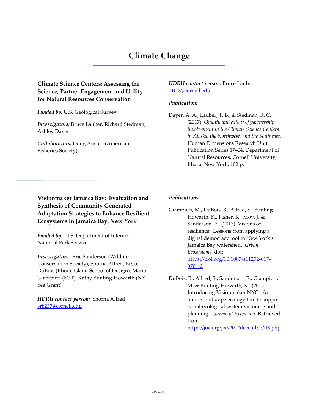# **Climate Change**

# **Climate Science Centers: Assessing the Science, Partner Engagement and Utility for Natural Resources Conservation**

*Funded by:* U.S. Geological Survey

*Investigators:* Bruce Lauber, Richard Stedman, Ashley Dayer

*Collaborators:* Doug Austen (American Fisheries Society)

#### *HDRU contact person:* Bruce Lauber [TBL3@cornell.edu](mailto:TBL3@cornell.edu)

### *Publication:*

Dayer, A. A., Lauber, T. B., & Stedman, R. C. (2017). *Quality and extent of partnership involvement in the Climate Science Centers in Alaska, the Northwest, and the Southeast*. Human Dimensions Research Unit Publication Series 17–04. Department of Natural Resources, Cornell University, Ithaca, New York. 102 p.

# **Visionmaker Jamaica Bay: Evaluation and Synthesis of Community Generated Adaptation Strategies to Enhance Resilient Ecosystems in Jamaica Bay, New York**

*Funded by:* U.S. Department of Interior, National Park Service

*Investigators*: Eric Sanderson (Wildlife Conservation Society), Shorna Allred, Bryce DuBois (Rhode Island School of Design), Mario Giampieri (MIT), Kathy Bunting-Howarth (NY Sea Grant)

*HDRU contact person:* Shorna Allred [srb237@cornell.edu](mailto:srb237@cornell.edu)

### *Publications*:

Giampieri, M., DuBois, B., Allred, S., Bunting-Howarth, K., Fisher, K., Moy, J. & Sanderson, E. (2017). Visions of resilience: Lessons from applying a digital democracy tool in New York's Jamaica Bay watershed. *Urban Ecosystems,* doi: [https://doi.org/10.1007/s11252-017-](https://doi.org/10.1007/s11252-017-0701-2) [0701-2](https://doi.org/10.1007/s11252-017-0701-2) 

DuBois, B., Allred, S., Sanderson, E., Giampieri, M. & Bunting-Howarth, K. (2017). Introducing Visionmaker.NYC: An online landscape ecology tool to support social-ecological system visioning and planning. *Journal of Extension.* Retrieved from

<https://joe.org/joe/2017december/tt8.php>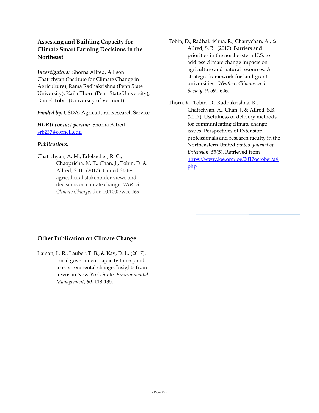# **Assessing and Building Capacity for Climate Smart Farming Decisions in the Northeast**

*Investigators:* Shorna Allred, Allison Chatrchyan (Institute for Climate Change in Agriculture), Rama Radhakrishna (Penn State University), Kaila Thorn (Penn State University), Daniel Tobin (University of Vermont)

*Funded by:* USDA, Agricultural Research Service

*HDRU contact person:* Shorna Allred srb237@cornell.edu

#### *Publications:*

Chatrchyan, A. M., Erlebacher, R. C., Chaopricha, N. T., Chan, J., Tobin, D. & Allred, S. B. (2017). United States agricultural stakeholder views and decisions on climate change. *WIRES Climate Change*, doi: 10.1002/wcc.469

- Tobin, D., Radhakrishna, R., Chatrychan, A., & Allred, S. B. (2017). Barriers and priorities in the northeastern U.S. to address climate change impacts on agriculture and natural resources: A strategic framework for land-grant universities. *Weather, Climate, and Society, 9*, 591-606.
- Thorn, K., Tobin, D., Radhakrishna, R., Chatrchyan, A., Chan, J. & Allred, S.B. (2017). Usefulness of delivery methods for communicating climate change issues: Perspectives of Extension professionals and research faculty in the Northeastern United States. *Journal of Extension, 55*(5). Retrieved from [https://www.joe.org/joe/2017october/a4.](https://www.joe.org/joe/2017october/a4.php) [php](https://www.joe.org/joe/2017october/a4.php)

## **Other Publication on Climate Change**

Larson, L. R., Lauber, T. B., & Kay, D. L. (2017). Local government capacity to respond to environmental change: Insights from towns in New York State. *Environmental Management*, *60,* 118-135.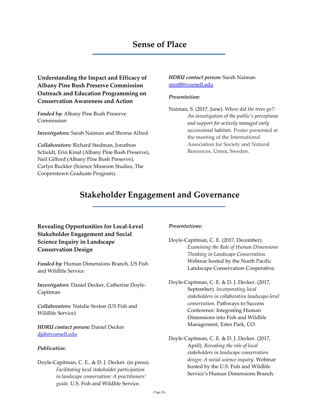# **Sense of Place**

**Understanding the Impact and Efficacy of Albany Pine Bush Preserve Commission Outreach and Education Programming on Conservation Awareness and Action**

*Funded by:* Albany Pine Bush Preserve Commission

*Investigators:* Sarah Naiman and Shorna Allred

*Collaborators:* Richard Stedman, Jonathon Schuldt, Erin Kinal (Albany Pine Bush Preserve), Neil Gifford (Albany Pine Bush Preserve), Carlyn Buckler (Science Museum Studies, The Cooperstown Graduate Program).

#### *HDRU contact person:* Sarah Naiman [smn88@cornell.edu](mailto:smn88@cornell.edu)

#### *Presentation:*

Naiman, S. (2017, June)*. Where did the trees go?: An investigation of the public's perceptions and support for actively managed early successional habitats.* Poster presented at the meeting of the International Association for Society and Natural Resources. Umea, Sweden.

# **Stakeholder Engagement and Governance**

**Revealing Opportunities for Local-Level Stakeholder Engagement and Social Science Inquiry in Landscape Conservation Design**

*Funded by:* Human Dimensions Branch, US Fish and Wildlife Service

*Investigators:* Daniel Decker, Catherine Doyle-Capitman

*Collaborators:* Natalie Sexton (US Fish and Wildlife Service)

*HDRU contact person:* Daniel Decker [djd6@cornell.edu](mailto:djd6@cornell.edu)

#### *Publication:*

Doyle-Capitman, C. E., & D. J. Decker. (in press). *Facilitating local stakeholder participation in landscape conservation: A practitioners' guide*. U.S. Fish and Wildlife Service.

#### *Presentations:*

Doyle-Capitman, C. E. (2017, December). *Examining the Role of Human Dimensions Thinking in Landscape Conservation.* Webinar hosted by the North Pacific Landscape Conservation Cooperative.

Doyle-Capitman, C. E. & D. J. Decker. (2017, September). *Incorporating local stakeholders in collaborative landscape-level conservation.* Pathways to Success Conference: Integrating Human Dimensions into Fish and Wildlife Management, Estes Park, CO.

Doyle-Capitman, C. E. & D. J. Decker. (2017, April). *Revealing the role of local stakeholders in landscape conservation design: A social science inquiry.* Webinar hosted by the U.S. Fish and Wildlife Service's Human Dimensions Branch.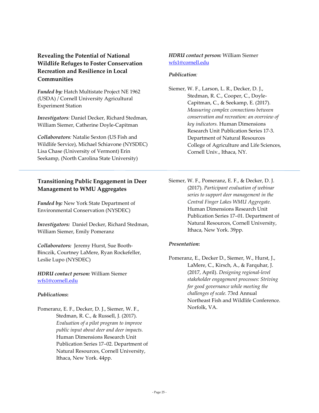# **Revealing the Potential of National Wildlife Refuges to Foster Conservation Recreation and Resilience in Local Communities**

*Funded by:* Hatch Multistate Project NE 1962 (USDA) / Cornell University Agricultural Experiment Station

*Investigators:* Daniel Decker, Richard Stedman, William Siemer, Catherine Doyle-Capitman

*Collaborators:* Natalie Sexton (US Fish and Wildlife Service), Michael Schiavone (NYSDEC) Lisa Chase (University of Vermont) Erin Seekamp, (North Carolina State University)

# **Transitioning Public Engagement in Deer Management to WMU Aggregates**

*Funded by:* New York State Department of Environmental Conservation (NYSDEC)

*Investigators:* Daniel Decker, Richard Stedman, William Siemer, Emily Pomeranz

*Collaborators:* Jeremy Hurst, Sue Booth-Binczik, Courtney LaMere, Ryan Rockefeller, Leslie Lupo (NYSDEC)

*HDRU contact person:* William Siemer wfs1@cornell.edu

#### *Publications***:**

Pomeranz, E. F., Decker, D. J., Siemer, W. F., Stedman, R. C., & Russell, J. (2017). *Evaluation of a pilot program to improve public input about deer and deer impacts.* Human Dimensions Research Unit Publication Series 17–02. Department of Natural Resources, Cornell University, Ithaca, New York. 44pp.

### *HDRU contact person:* William Siemer [wfs1@cornell.edu](mailto:wfs1@cornell.edu)

### *Publication:*

Siemer, W. F., Larson, L. R., Decker, D. J., Stedman, R. C., Cooper, C., Doyle-Capitman, C., & Seekamp, E. (2017). *Measuring complex connections between conservation and recreation: an overview of key indicators.* Human Dimensions Research Unit Publication Series 17-3. Department of Natural Resources College of Agriculture and Life Sciences, Cornell Univ., Ithaca, NY.

Siemer, W. F., Pomeranz, E. F., & Decker, D. J. (2017). *Participant evaluation of webinar series to support deer management in the Central Finger Lakes WMU Aggregate*. Human Dimensions Research Unit Publication Series 17–01. Department of Natural Resources, Cornell University, Ithaca, New York. 39pp.

#### *Presentation***:**

Pomeranz, E., Decker D., Siemer, W., Hurst, J., LaMere, C., Kirsch, A., & Farquhar, J. (2017, April). *Designing regional-level stakeholder engagement processes: Striving for good governance while meeting the challenges of scale.* 73rd Annual Northeast Fish and Wildlife Conference. Norfolk, VA.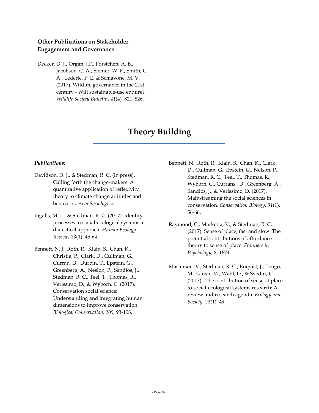# **Other Publications on Stakeholder Engagement and Governance**

Decker, D. J., Organ, J.F., Forstchen, A. B., Jacobson, C. A., Siemer, W. F., Smith, C. A., Lederle, P. E. & Schiavone, M. V. (2017). Wildlife governance in the 21st century - Will sustainable-use endure? *Wildlife Society Bulletin*, *41*(4), 821–826.

# **Theory Building**

#### *Publications:*

- Davidson, D. J., & Stedman, R. C. (in press). Calling forth the change-makers: A quantitative application of reflexivity theory to climate change attitudes and behaviors. *Acta Sociologica.*
- Ingalls, M. L., & Stedman, R. C. (2017). Identity processes in social-ecological systems a dialectical approach. *Human Ecology Review, 23*(1), 45-64.
- Bennett, N. J., Roth, R., Klain, S., Chan, K., Christie, P., Clark, D., Cullman, G., Curran, D., Durbin, T., Epstein, G., Greenberg, A., Neslon, P., Sandlos, J., Stedman, R. C., Teel, T., Thomas, R., Verissimo, D., & Wyborn, C. (2017). Conservation social science: Understanding and integrating human dimensions to improve conservation. *Biological Conservation*, *205,* 93-108.
- Bennett, N., Roth, R., Klain, S., Chan, K., Clark, D., Cullman, G., Epstein, G., Nelson, P., Stedman, R. C., Teel, T., Thomas, R., Wyborn, C., Currans., D., Greenberg, A., Sandlos, J., & Verissimo, D. (2017). Mainstreaming the social sciences in conservation. *Conservation Biology, 31*(1), 56-66.
- Raymond, C., Marketta, K., & Stedman, R. C. (2017). Sense of place, fast and slow: The potential contributions of affordance theory to sense of place. *Frontiers in Psychology, 8*, 1674.
- Masterson, V., Stedman, R. C., Enqvist, J., Tengo, M., Giusti, M., Wahl, D., & Svedin, U. (2017). The contribution of sense of place to social-ecological systems research: A review and research agenda. *Ecology and Society, 22*(1), 49.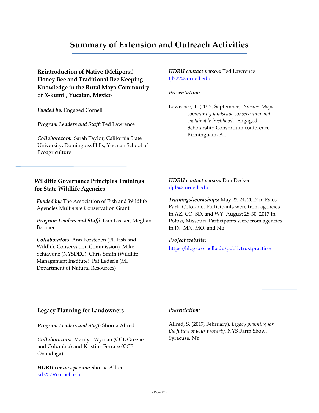# **Summary of Extension and Outreach Activities**

**Reintroduction of Native (Melipona) Honey Bee and Traditional Bee Keeping Knowledge in the Rural Maya Community of X-kumil, Yucatan, Mexico**

*Funded by:* Engaged Cornell

*Program Leaders and Staff:* Ted Lawrence

*Collaborators:* Sarah Taylor, California State University, Dominguez Hills; Yucatan School of Ecoagriculture

### **Wildlife Governance Principles Trainings for State Wildlife Agencies**

*Funded by:* The Association of Fish and Wildlife Agencies Multistate Conservation Grant

*Program Leaders and Staff:* Dan Decker, Meghan Baumer

*Collaborators*: Ann Forstchen (FL Fish and Wildlife Conservation Commission), Mike Schiavone (NYSDEC), Chris Smith (Wildlife Management Institute), Pat Lederle (MI Department of Natural Resources)

*HDRU contact person:* Ted Lawrence tjl222@cornell.edu

#### *Presentation:*

Lawrence, T. (2017, September). *Yucatec Maya community landscape conservation and sustainable livelihoods.* Engaged Scholarship Consortium conference. Birmingham, AL.

### *HDRU contact person:* Dan Decker [djd6@cornell.edu](mailto:djd6@cornell.edu)

*Trainings/workshops***:** May 22-24, 2017 in Estes Park, Colorado. Participants were from agencies in AZ, CO, SD, and WY. August 28-30, 2017 in Potosi, Missouri. Participants were from agencies in IN, MN, MO, and NE.

#### *Project website***:**

<https://blogs.cornell.edu/publictrustpractice/>

#### **Legacy Planning for Landowners**

*Program Leaders and Staff:* Shorna Allred

*Collaborators:* Marilyn Wyman (CCE Greene and Columbia) and Kristina Ferrare (CCE Onandaga)

*HDRU contact person: S*horna Allred [srb237@cornell.edu](mailto:srb237@cornell.edu)

#### *Presentation:*

Allred, S. (2017, February). *Legacy planning for the future of your property.* NYS Farm Show. Syracuse, NY.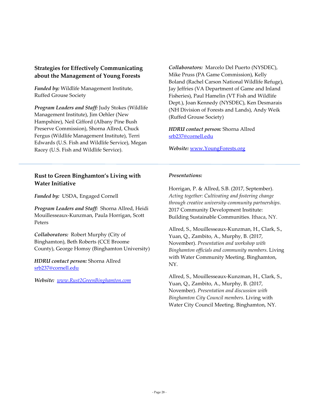# **Strategies for Effectively Communicating about the Management of Young Forests**

*Funded by:* Wildlife Management Institute, Ruffed Grouse Society

*Program Leaders and Staff:* Judy Stokes (Wildlife Management Institute), Jim Oehler (New Hampshire), Neil Gifford (Albany Pine Bush Preserve Commission), Shorna Allred, Chuck Fergus (Wildlife Management Institute), Terri Edwards (U.S. Fish and Wildlife Service), Megan Racey (U.S. Fish and Wildlife Service).

**Rust to Green Binghamton's Living with Water Initiative**

*Funded by:* USDA, Engaged Cornell

*Program Leaders and Staff:* Shorna Allred, Heidi Mouillesseaux-Kunzman, Paula Horrigan, Scott Peters

*Collaborators:* Robert Murphy (City of Binghamton), Beth Roberts (CCE Broome County), George Homsy (Binghamton University)

*HDRU contact person:* Shorna Allred [srb237@cornell.edu](mailto:srb237@cornell.edu)

*Website: [www.Rust2GreenBinghamton.com](http://www.rust2greenbinghamton.com/)*

*Collaborators:* Marcelo Del Puerto (NYSDEC), Mike Pruss (PA Game Commission), Kelly Boland (Rachel Carson National Wildlife Refuge), Jay Jeffries (VA Department of Game and Inland Fisheries), Paul Hamelin (VT Fish and Wildlife Dept.), Joan Kennedy (NYSDEC), Ken Desmarais (NH Division of Forests and Lands), Andy Weik (Ruffed Grouse Society)

*HDRU contact person:* Shorna Allred [srb237@cornell.edu](mailto:srb237@cornell.edu)

*Website:* www.YoungForests.org

#### *Presentations:*

Horrigan, P. & Allred, S.B. (2017, September). *Acting together: Cultivating and fostering change through creative university-community partnerships*. 2017 Community Development Institute: Building Sustainable Communities. Ithaca, NY.

Allred, S., Mouillesseaux-Kunzman, H., Clark, S., Yuan, Q., Zambito, A., Murphy, B. (2017, November). *Presentation and workshop with Binghamton officials and community members*. Living with Water Community Meeting. Binghamton, NY.

Allred, S., Mouillesseaux-Kunzman, H., Clark, S., Yuan, Q., Zambito, A., Murphy, B. (2017, November). *Presentation and discussion with Binghamton City Council members*. Living with Water City Council Meeting. Binghamton, NY.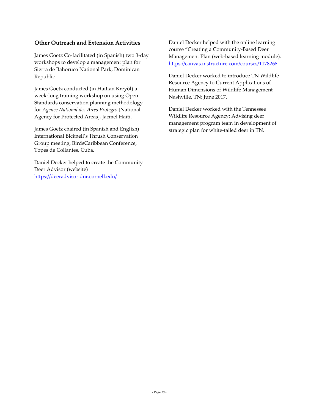# **Other Outreach and Extension Activities**

James Goetz Co-facilitated (in Spanish) two 3-day workshops to develop a management plan for Sierra de Bahoruco National Park, Dominican Republic

James Goetz conducted (in Haitian Kreyòl) a week-long training workshop on using Open Standards conservation planning methodology for *Agence National des Aires Proteges* [National Agency for Protected Areas], Jacmel Haiti.

James Goetz chaired (in Spanish and English) International Bicknell's Thrush Conservation Group meeting, BirdsCaribbean Conference, Topes de Collantes, Cuba.

Daniel Decker helped to create the Community Deer Advisor (website) <https://deeradvisor.dnr.cornell.edu/>

Daniel Decker helped with the online learning course "Creating a Community-Based Deer Management Plan (web-based learning module). <https://canvas.instructure.com/courses/1178268>

Daniel Decker worked to introduce TN Wildlife Resource Agency to Current Applications of Human Dimensions of Wildlife Management— Nashville, TN; June 2017.

Daniel Decker worked with the Tennessee Wildlife Resource Agency: Advising deer management program team in development of strategic plan for white-tailed deer in TN.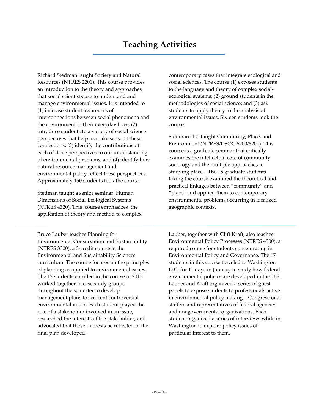Richard Stedman taught Society and Natural Resources (NTRES 2201). This course provides an introduction to the theory and approaches that social scientists use to understand and manage environmental issues. It is intended to (1) increase student awareness of interconnections between social phenomena and the environment in their everyday lives; (2) introduce students to a variety of social science perspectives that help us make sense of these connections; (3) identify the contributions of each of these perspectives to our understanding of environmental problems; and (4) identify how natural resource management and environmental policy reflect these perspectives. Approximately 150 students took the course.

Stedman taught a senior seminar, Human Dimensions of Social-Ecological Systems (NTRES 4320). This course emphasizes the application of theory and method to complex

Bruce Lauber teaches Planning for Environmental Conservation and Sustainability (NTRES 3300), a 3-credit course in the Environmental and Sustainability Sciences curriculum. The course focuses on the principles of planning as applied to environmental issues. The 17 students enrolled in the course in 2017 worked together in case study groups throughout the semester to develop management plans for current controversial environmental issues. Each student played the role of a stakeholder involved in an issue, researched the interests of the stakeholder, and advocated that those interests be reflected in the final plan developed.

contemporary cases that integrate ecological and social sciences. The course (1) exposes students to the language and theory of complex socialecological systems; (2) ground students in the methodologies of social science; and (3) ask students to apply theory to the analysis of environmental issues. Sixteen students took the course.

Stedman also taught Community, Place, and Environment (NTRES/DSOC 6200/6201). This course is a graduate seminar that critically examines the intellectual core of community sociology and the multiple approaches to studying place. The 15 graduate students taking the course examined the theoretical and practical linkages between "community" and "place" and applied them to contemporary environmental problems occurring in localized geographic contexts.

Lauber, together with Cliff Kraft, also teaches Environmental Policy Processes (NTRES 4300), a required course for students concentrating in Environmental Policy and Governance. The 17 students in this course traveled to Washington D.C. for 11 days in January to study how federal environmental policies are developed in the U.S. Lauber and Kraft organized a series of guest panels to expose students to professionals active in environmental policy making – Congressional staffers and representatives of federal agencies and nongovernmental organizations. Each student organized a series of interviews while in Washington to explore policy issues of particular interest to them.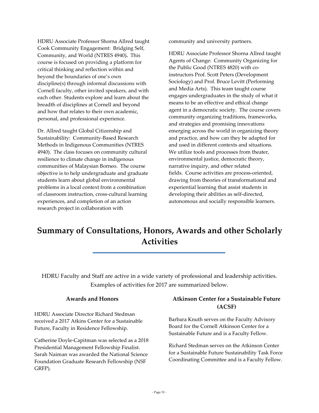HDRU Associate Professor Shorna Allred taught Cook Community Engagement: Bridging Self, Community, and World (NTRES 4940)**.** This course is focused on providing a platform for critical thinking and reflection within and beyond the boundaries of one's own discipline(s) through informal discussions with Cornell faculty, other invited speakers, and with each other. Students explore and learn about the breadth of disciplines at Cornell and beyond and how that relates to their own academic, personal, and professional experience.

Dr. Allred taught Global Citizenship and Sustainability: Community-Based Research Methods in Indigenous Communities (NTRES 4940). The class focuses on community cultural resilience to climate change in indigenous communities of Malaysian Borneo. The course objective is to help undergraduate and graduate students learn about global environmental problems in a local context from a combination of classroom instruction, cross-cultural learning experiences, and completion of an action research project in collaboration with

community and university partners.

HDRU Associate Professor Shorna Allred taught Agents of Change: Community Organizing for the Public Good (NTRES 4820) with coinstructors Prof. Scott Peters (Development Sociology) and Prof. Bruce Levitt (Performing and Media Arts). This team taught course engages undergraduates in the study of what it means to be an effective and ethical change agent in a democratic society. The course covers community organizing traditions, frameworks, and strategies and promising innovations emerging across the world in organizing theory and practice, and how can they be adapted for and used in different contexts and situations. We utilize tools and processes from theater, environmental justice, democratic theory, narrative inquiry, and other related fields. Course activities are process-oriented, drawing from theories of transformational and experiential learning that assist students in developing their abilities as self-directed, autonomous and socially responsible learners.

# **Summary of Consultations, Honors, Awards and other Scholarly Activities**

HDRU Faculty and Staff are active in a wide variety of professional and leadership activities. Examples of activities for 2017 are summarized below.

#### **Awards and Honors**

HDRU Associate Director Richard Stedman received a 2017 Atkins Center for a Sustainable Future, Faculty in Residence Fellowship.

Catherine Doyle-Capitman was selected as a 2018 Presidential Management Fellowship Finalist. Sarah Naiman was awarded the National Science Foundation Graduate Research Fellowship (NSF GRFP).

# **Atkinson Center for a Sustainable Future (ACSF)**

Barbara Knuth serves on the Faculty Advisory Board for the Cornell Atkinson Center for a Sustainable Future and is a Faculty Fellow.

Richard Stedman serves on the Atkinson Center for a Sustainable Future Sustainability Task Force Coordinating Committee and is a Faculty Fellow.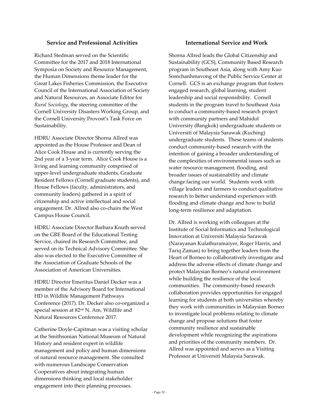#### **Service and Professional Activities**

Richard Stedman served on the Scientific Committee for the 2017 and 2018 International Symposia on Society and Resource Management, the Human Dimensions theme leader for the Great Lakes Fisheries Commission, the Executive Council of the International Association of Society and Natural Resources, an Associate Editor for *Rural Sociology*, the steering committee of the Cornell University Disasters Working Group, and the Cornell University Provost's Task Force on Sustainability.

HDRU Associate Director Shorna Allred was appointed as the House Professor and Dean of Alice Cook House and is currently serving the 2nd year of a 3-year term. Alice Cook House is a living and learning community comprised of upper-level undergraduate students, Graduate Resident Fellows (Cornell graduate students), and House Fellows (faculty, administrators, and community leaders) gathered in a spirit of citizenship and active intellectual and social engagement. Dr. Allred also co-chairs the West Campus House Council.

HDRU Associate Director Barbara Knuth served on the GRE Board of the Educational Testing Service, chaired its Research Committee, and served on its Technical Advisory Committee. She also was elected to the Executive Committee of the Association of Graduate Schools of the Association of American Universities.

HDRU Director Emeritus Daniel Decker was a member of the Advisory Board for International HD in Wildlife Management Pathways Conference (2017). Dr. Decker also co-organized a special session at 82nd N. Am. Wildlife and Natural Resources Conference 2017.

Catherine Doyle-Capitman was a visiting scholar at the Smithsonian National Museum of Natural History and resident expert in wildlife management and policy and human dimensions of natural resource management. She consulted with numerous Landscape Conservation Cooperatives about integrating human dimensions thinking and local stakeholder engagement into their planning processes.

#### **International Service and Work**

Shorna Allred leads the Global Citizenship and Sustainability (GCS), Community Based Research program in Southeast Asia, along with Amy Kuo Somchanhmavong of the Public Service Center at Cornell. GCS is an exchange program that fosters engaged research, global learning, student leadership and social responsibility. Cornell students in the program travel to Southeast Asia to conduct a community-based research project with community partners and Mahidol University (Bangkok) undergraduate students or Universiti of Malaysia Sarawak (Kuching) undergraduate students. These teams of students conduct community-based research with the intention of gaining a broader understanding of the complexities of environmental issues such as water resource management, flooding, and broader issues of sustainability and climate change facing our world. Students work with village leaders and farmers to conduct qualitative research to better understand experiences with flooding and climate change and how to build long-term resilience and adaptation.

Dr. Allred is working with colleagues at the Institute of Social Informatics and Technological Innovation at Universiti Malaysia Sarawak (Narayanan Kulathuramaiyer, Roger Harris, and Tariq Zaman) to bring together leaders from the Heart of Borneo to collaboratively investigate and address the adverse effects of climate change and protect Malaysian Borneo's natural environment while building the resilience of the local communities. The community-based research collaboration provides opportunities for engaged learning for students at both universities whereby they work with communities in Malaysian Borneo to investigate local problems relating to climate change and propose solutions that foster community resilience and sustainable development while recognizing the aspirations and priorities of the community members. Dr. Allred was appointed and serves as a Visiting Professor at Universiti Malaysia Sarawak.